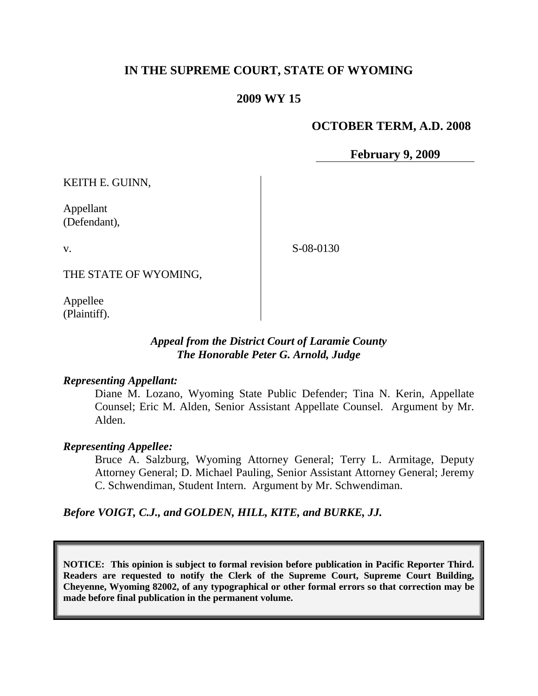# **IN THE SUPREME COURT, STATE OF WYOMING**

# **2009 WY 15**

#### **OCTOBER TERM, A.D. 2008**

**February 9, 2009**

KEITH E. GUINN,

Appellant (Defendant),

v.

S-08-0130

THE STATE OF WYOMING,

Appellee (Plaintiff).

# *Appeal from the District Court of Laramie County The Honorable Peter G. Arnold, Judge*

#### *Representing Appellant:*

Diane M. Lozano, Wyoming State Public Defender; Tina N. Kerin, Appellate Counsel; Eric M. Alden, Senior Assistant Appellate Counsel. Argument by Mr. Alden.

#### *Representing Appellee:*

Bruce A. Salzburg, Wyoming Attorney General; Terry L. Armitage, Deputy Attorney General; D. Michael Pauling, Senior Assistant Attorney General; Jeremy C. Schwendiman, Student Intern. Argument by Mr. Schwendiman.

*Before VOIGT, C.J., and GOLDEN, HILL, KITE, and BURKE, JJ.*

**NOTICE: This opinion is subject to formal revision before publication in Pacific Reporter Third. Readers are requested to notify the Clerk of the Supreme Court, Supreme Court Building, Cheyenne, Wyoming 82002, of any typographical or other formal errors so that correction may be made before final publication in the permanent volume.**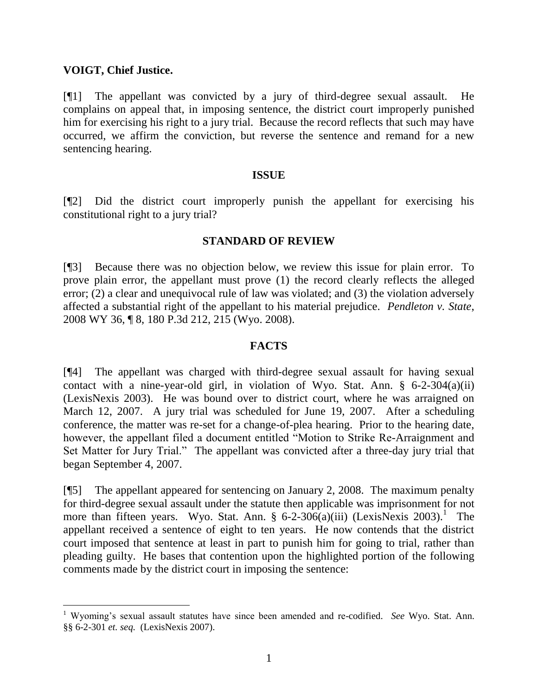# **VOIGT, Chief Justice.**

[¶1] The appellant was convicted by a jury of third-degree sexual assault. He complains on appeal that, in imposing sentence, the district court improperly punished him for exercising his right to a jury trial. Because the record reflects that such may have occurred, we affirm the conviction, but reverse the sentence and remand for a new sentencing hearing.

# **ISSUE**

[¶2] Did the district court improperly punish the appellant for exercising his constitutional right to a jury trial?

# **STANDARD OF REVIEW**

[¶3] Because there was no objection below, we review this issue for plain error. To prove plain error, the appellant must prove (1) the record clearly reflects the alleged error; (2) a clear and unequivocal rule of law was violated; and (3) the violation adversely affected a substantial right of the appellant to his material prejudice. *Pendleton v. State*, 2008 WY 36, ¶ 8, 180 P.3d 212, 215 (Wyo. 2008).

## **FACTS**

[¶4] The appellant was charged with third-degree sexual assault for having sexual contact with a nine-year-old girl, in violation of Wyo. Stat. Ann. § 6-2-304(a)(ii) (LexisNexis 2003). He was bound over to district court, where he was arraigned on March 12, 2007. A jury trial was scheduled for June 19, 2007. After a scheduling conference, the matter was re-set for a change-of-plea hearing. Prior to the hearing date, however, the appellant filed a document entitled "Motion to Strike Re-Arraignment and Set Matter for Jury Trial." The appellant was convicted after a three-day jury trial that began September 4, 2007.

[¶5] The appellant appeared for sentencing on January 2, 2008. The maximum penalty for third-degree sexual assault under the statute then applicable was imprisonment for not more than fifteen years. Wyo. Stat. Ann. §  $6-2-306(a)(iii)$  (LexisNexis 2003).<sup>1</sup> The appellant received a sentence of eight to ten years. He now contends that the district court imposed that sentence at least in part to punish him for going to trial, rather than pleading guilty. He bases that contention upon the highlighted portion of the following comments made by the district court in imposing the sentence:

<sup>1</sup> Wyoming's sexual assault statutes have since been amended and re-codified. *See* Wyo. Stat. Ann. §§ 6-2-301 *et. seq.* (LexisNexis 2007).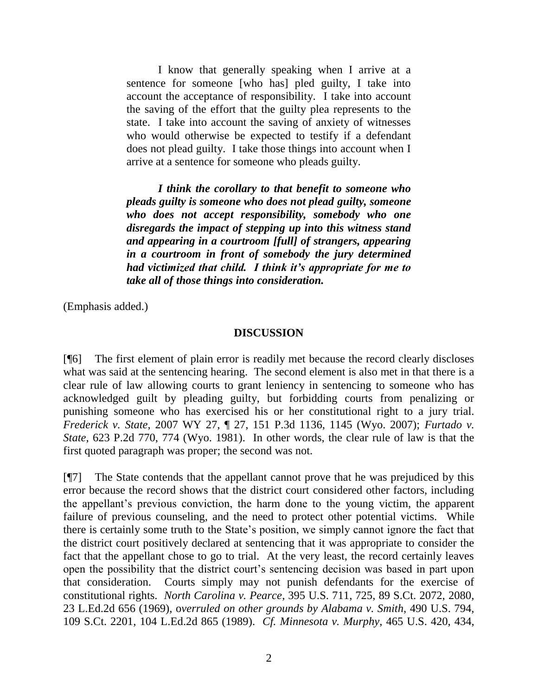I know that generally speaking when I arrive at a sentence for someone [who has] pled guilty, I take into account the acceptance of responsibility. I take into account the saving of the effort that the guilty plea represents to the state. I take into account the saving of anxiety of witnesses who would otherwise be expected to testify if a defendant does not plead guilty. I take those things into account when I arrive at a sentence for someone who pleads guilty.

*I think the corollary to that benefit to someone who pleads guilty is someone who does not plead guilty, someone who does not accept responsibility, somebody who one disregards the impact of stepping up into this witness stand and appearing in a courtroom [full] of strangers, appearing in a courtroom in front of somebody the jury determined had victimized that child. I think it's appropriate for me to take all of those things into consideration.*

(Emphasis added.)

#### **DISCUSSION**

[¶6] The first element of plain error is readily met because the record clearly discloses what was said at the sentencing hearing. The second element is also met in that there is a clear rule of law allowing courts to grant leniency in sentencing to someone who has acknowledged guilt by pleading guilty, but forbidding courts from penalizing or punishing someone who has exercised his or her constitutional right to a jury trial. *Frederick v. State*, 2007 WY 27, ¶ 27, 151 P.3d 1136, 1145 (Wyo. 2007); *Furtado v. State*, 623 P.2d 770, 774 (Wyo. 1981). In other words, the clear rule of law is that the first quoted paragraph was proper; the second was not.

[¶7] The State contends that the appellant cannot prove that he was prejudiced by this error because the record shows that the district court considered other factors, including the appellant's previous conviction, the harm done to the young victim, the apparent failure of previous counseling, and the need to protect other potential victims. While there is certainly some truth to the State's position, we simply cannot ignore the fact that the district court positively declared at sentencing that it was appropriate to consider the fact that the appellant chose to go to trial. At the very least, the record certainly leaves open the possibility that the district court's sentencing decision was based in part upon that consideration. Courts simply may not punish defendants for the exercise of constitutional rights. *North Carolina v. Pearce*, 395 U.S. 711, 725, 89 S.Ct. 2072, 2080, 23 L.Ed.2d 656 (1969), o*verruled on other grounds by Alabama v. Smith*, 490 U.S. 794, 109 S.Ct. 2201, 104 L.Ed.2d 865 (1989). *Cf. Minnesota v. Murphy*, 465 U.S. 420, 434,